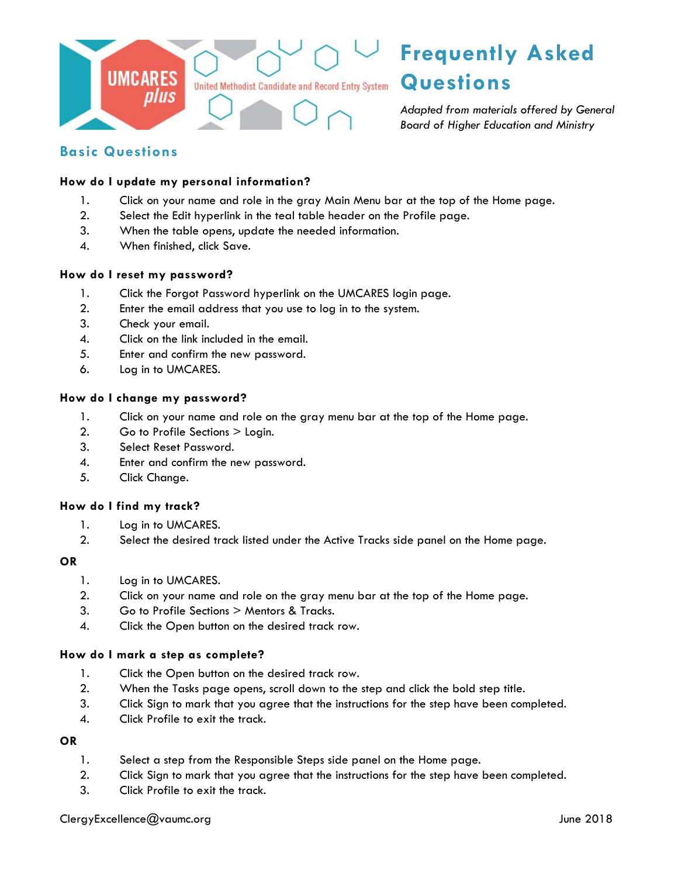

# **Basic Questions**

# **How do I update my personal information?**

- 1. Click on your name and role in the gray Main Menu bar at the top of the Home page.
- 2. Select the Edit hyperlink in the teal table header on the Profile page.
- 3. When the table opens, update the needed information.
- 4. When finished, click Save.

#### **How do I reset my password?**

- 1. Click the Forgot Password hyperlink on the UMCARES login page.
- 2. Enter the email address that you use to log in to the system.
- 3. Check your email.
- 4. Click on the link included in the email.
- 5. Enter and confirm the new password.
- 6. Log in to UMCARES.

#### **How do I change my password?**

- 1. Click on your name and role on the gray menu bar at the top of the Home page.
- 2. Go to Profile Sections > Login.
- 3. Select Reset Password.
- 4. Enter and confirm the new password.
- 5. Click Change.

#### **How do I find my track?**

- 1. Log in to UMCARES.
- 2. Select the desired track listed under the Active Tracks side panel on the Home page.

#### **OR**

- 1. Log in to UMCARES.
- 2. Click on your name and role on the gray menu bar at the top of the Home page.
- 3. Go to Profile Sections > Mentors & Tracks.
- 4. Click the Open button on the desired track row.

#### **How do I mark a step as complete?**

- 1. Click the Open button on the desired track row.
- 2. When the Tasks page opens, scroll down to the step and click the bold step title.
- 3. Click Sign to mark that you agree that the instructions for the step have been completed.
- 4. Click Profile to exit the track.

#### **OR**

- 1. Select a step from the Responsible Steps side panel on the Home page.
- 2. Click Sign to mark that you agree that the instructions for the step have been completed.
- 3. Click Profile to exit the track.

ClergyExcellence@vaumc.org June 2018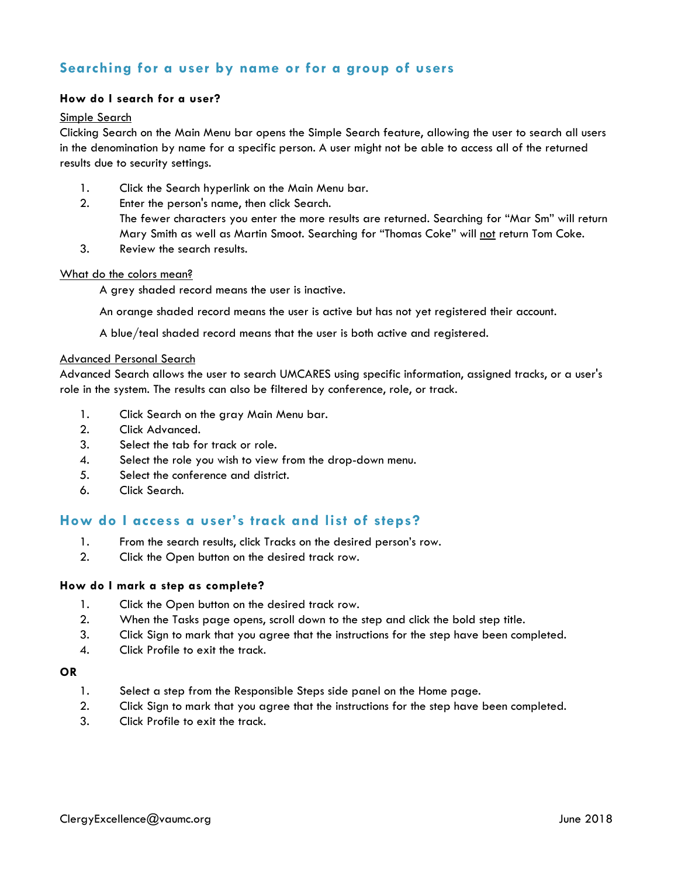# **Searching for a user by name or for a group of users**

# **How do I search for a user?**

#### Simple Search

Clicking Search on the Main Menu bar opens the Simple Search feature, allowing the user to search all users in the denomination by name for a specific person. A user might not be able to access all of the returned results due to security settings.

- 1. Click the Search hyperlink on the Main Menu bar.
- 2. Enter the person's name, then click Search.
	- The fewer characters you enter the more results are returned. Searching for "Mar Sm" will return Mary Smith as well as Martin Smoot. Searching for "Thomas Coke" will not return Tom Coke.
- 3. Review the search results.

### What do the colors mean?

A grey shaded record means the user is inactive.

An orange shaded record means the user is active but has not yet registered their account.

A blue/teal shaded record means that the user is both active and registered.

#### Advanced Personal Search

Advanced Search allows the user to search UMCARES using specific information, assigned tracks, or a user's role in the system. The results can also be filtered by conference, role, or track.

- 1. Click Search on the gray Main Menu bar.
- 2. Click Advanced.
- 3. Select the tab for track or role.
- 4. Select the role you wish to view from the drop-down menu.
- 5. Select the conference and district.
- 6. Click Search.

# **How do I access a user's track and list of steps?**

- 1. From the search results, click Tracks on the desired person's row.
- 2. Click the Open button on the desired track row.

#### **How do I mark a step as complete?**

- 1. Click the Open button on the desired track row.
- 2. When the Tasks page opens, scroll down to the step and click the bold step title.
- 3. Click Sign to mark that you agree that the instructions for the step have been completed.
- 4. Click Profile to exit the track.

### **OR**

- 1. Select a step from the Responsible Steps side panel on the Home page.
- 2. Click Sign to mark that you agree that the instructions for the step have been completed.
- 3. Click Profile to exit the track.